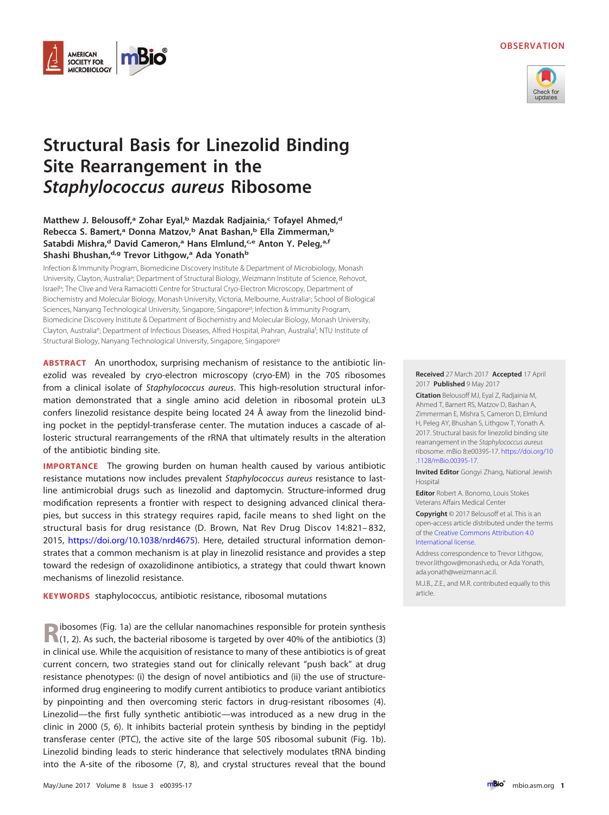## **OBSERVATION**



# **Structural Basis for Linezolid Binding Site Rearrangement in the Staphylococcus aureus Ribosome**

AMERICAN **SOCIETY FOR MICROBIOLOGY** 

# **Matthew J. Belousoff,**<sup>a</sup> Zohar Eyal,<sup>b</sup> Mazdak Radjainia,<sup>c</sup> Tofayel Ahmed,<sup>d</sup> **Rebecca S. Bamert,a Donna Matzov,b Anat Bashan,b Ella Zimmerman,b** Satabdi Mishra,<sup>d</sup> David Cameron,<sup>a</sup> Hans Elmlund,<sup>c,e</sup> Anton Y. Peleg,<sup>a,f</sup> **Shashi Bhushan,d,g Trevor Lithgow,a Ada Yonathb**

Infection & Immunity Program, Biomedicine Discovery Institute & Department of Microbiology, Monash University, Clayton, Australia<sup>a</sup>; Department of Structural Biology, Weizmann Institute of Science, Rehovot, Israelb; The Clive and Vera Ramaciotti Centre for Structural Cryo-Electron Microscopy, Department of Biochemistry and Molecular Biology, Monash University, Victoria, Melbourne, Australiac ; School of Biological Sciences, Nanyang Technological University, Singapore, Singapore<sup>d</sup>; Infection & Immunity Program, Biomedicine Discovery Institute & Department of Biochemistry and Molecular Biology, Monash University, Clayton, Australia<sup>e</sup>; Department of Infectious Diseases, Alfred Hospital, Prahran, Australia<sup>f</sup>; NTU Institute of Structural Biology, Nanyang Technological University, Singapore, Singaporeg

**ABSTRACT** An unorthodox, surprising mechanism of resistance to the antibiotic linezolid was revealed by cryo-electron microscopy (cryo-EM) in the 70S ribosomes from a clinical isolate of *Staphylococcus aureus*. This high-resolution structural information demonstrated that a single amino acid deletion in ribosomal protein uL3 confers linezolid resistance despite being located 24 Å away from the linezolid binding pocket in the peptidyl-transferase center. The mutation induces a cascade of allosteric structural rearrangements of the rRNA that ultimately results in the alteration of the antibiotic binding site.

**IMPORTANCE** The growing burden on human health caused by various antibiotic resistance mutations now includes prevalent Staphylococcus aureus resistance to lastline antimicrobial drugs such as linezolid and daptomycin. Structure-informed drug modification represents a frontier with respect to designing advanced clinical therapies, but success in this strategy requires rapid, facile means to shed light on the structural basis for drug resistance (D. Brown, Nat Rev Drug Discov 14:821– 832, 2015, [https://doi.org/10.1038/nrd4675\)](https://doi.org/10.1038/nrd4675). Here, detailed structural information demonstrates that a common mechanism is at play in linezolid resistance and provides a step toward the redesign of oxazolidinone antibiotics, a strategy that could thwart known mechanisms of linezolid resistance.

**KEYWORDS** staphylococcus, antibiotic resistance, ribosomal mutations

**Ribosomes [\(Fig. 1a\)](#page-1-0) are the cellular nanomachines responsible for protein synthesis [\(1,](#page-6-0) [2\)](#page-6-1). As such, the bacterial ribosome is targeted by over 40% of the antibiotics [\(3\)](#page-6-2)** in clinical use. While the acquisition of resistance to many of these antibiotics is of great current concern, two strategies stand out for clinically relevant "push back" at drug resistance phenotypes: (i) the design of novel antibiotics and (ii) the use of structureinformed drug engineering to modify current antibiotics to produce variant antibiotics by pinpointing and then overcoming steric factors in drug-resistant ribosomes [\(4\)](#page-6-3). Linezolid—the first fully synthetic antibiotic—was introduced as a new drug in the clinic in 2000 [\(5,](#page-6-4) [6\)](#page-6-5). It inhibits bacterial protein synthesis by binding in the peptidyl transferase center (PTC), the active site of the large 50S ribosomal subunit [\(Fig. 1b\)](#page-1-0). Linezolid binding leads to steric hinderance that selectively modulates tRNA binding into the A-site of the ribosome [\(7,](#page-6-6) [8\)](#page-6-7), and crystal structures reveal that the bound

**Received** 27 March 2017 **Accepted** 17 April 2017 **Published** 9 May 2017

**Citation** Belousoff MJ, Eyal Z, Radjainia M, Ahmed T, Bamert RS, Matzov D, Bashan A, Zimmerman E, Mishra S, Cameron D, Elmlund H, Peleg AY, Bhushan S, Lithgow T, Yonath A. 2017. Structural basis for linezolid binding site rearrangement in the Staphylococcus aureus ribosome. mBio 8:e00395-17. [https://doi.org/10](https://doi.org/10.1128/mBio.00395-17) [.1128/mBio.00395-17.](https://doi.org/10.1128/mBio.00395-17)

**Invited Editor** Gongyi Zhang, National Jewish Hospital

**Editor** Robert A. Bonomo, Louis Stokes Veterans Affairs Medical Center

**Copyright** © 2017 Belousoff et al. This is an open-access article distributed under the terms of the [Creative Commons Attribution 4.0](http://creativecommons.org/licenses/by/4.0/) [International](http://creativecommons.org/licenses/by/4.0/) license.

Address correspondence to Trevor Lithgow, [trevor.lithgow@monash.edu,](mailto:trevor.lithgow@monash.edu) or Ada Yonath, [ada.yonath@weizmann.ac.il.](mailto:ada.yonath@weizmann.ac.il)

M.J.B., Z.E., and M.R. contributed equally to this article.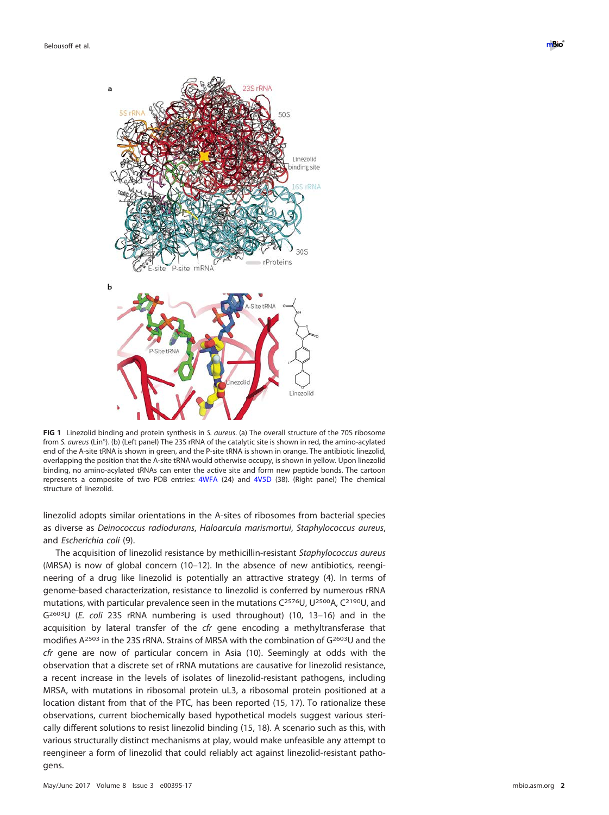

<span id="page-1-0"></span>**FIG 1** Linezolid binding and protein synthesis in S. aureus. (a) The overall structure of the 70S ribosome from S. aureus (LinS). (b) (Left panel) The 23S rRNA of the catalytic site is shown in red, the amino-acylated end of the A-site tRNA is shown in green, and the P-site tRNA is shown in orange. The antibiotic linezolid, overlapping the position that the A-site tRNA would otherwise occupy, is shown in yellow. Upon linezolid binding, no amino-acylated tRNAs can enter the active site and form new peptide bonds. The cartoon represents a composite of two PDB entries: [4WFA](http://www.rcsb.org/pdb/explore/explore.do?structureId=4WFA) (24) and [4V5D](http://www.rcsb.org/pdb/explore/explore.do?structureId=4V5D) [\(38\)](#page-6-17). (Right panel) The chemical structure of linezolid.

linezolid adopts similar orientations in the A-sites of ribosomes from bacterial species as diverse as Deinococcus radiodurans, Haloarcula marismortui, Staphylococcus aureus, and Escherichia coli [\(9\)](#page-6-8).

The acquisition of linezolid resistance by methicillin-resistant Staphylococcus aureus (MRSA) is now of global concern [\(10](#page-6-9)[–](#page-6-10)[12\)](#page-6-11). In the absence of new antibiotics, reengineering of a drug like linezolid is potentially an attractive strategy [\(4\)](#page-6-3). In terms of genome-based characterization, resistance to linezolid is conferred by numerous rRNA mutations, with particular prevalence seen in the mutations C<sup>2576</sup>U, U<sup>2500</sup>A, C<sup>2190</sup>U, and G2603U (E. coli 23S rRNA numbering is used throughout) [\(10,](#page-6-9) [13](#page-6-12)[–](#page-6-13)[16\)](#page-6-14) and in the acquisition by lateral transfer of the *cfr* gene encoding a methyltransferase that modifies A<sup>2503</sup> in the 23S rRNA. Strains of MRSA with the combination of G2603U and the cfr gene are now of particular concern in Asia [\(10\)](#page-6-9). Seemingly at odds with the observation that a discrete set of rRNA mutations are causative for linezolid resistance, a recent increase in the levels of isolates of linezolid-resistant pathogens, including MRSA, with mutations in ribosomal protein uL3, a ribosomal protein positioned at a location distant from that of the PTC, has been reported [\(15,](#page-6-13) [17\)](#page-6-15). To rationalize these observations, current biochemically based hypothetical models suggest various sterically different solutions to resist linezolid binding [\(15,](#page-6-13) [18\)](#page-6-16). A scenario such as this, with various structurally distinct mechanisms at play, would make unfeasible any attempt to reengineer a form of linezolid that could reliably act against linezolid-resistant pathogens.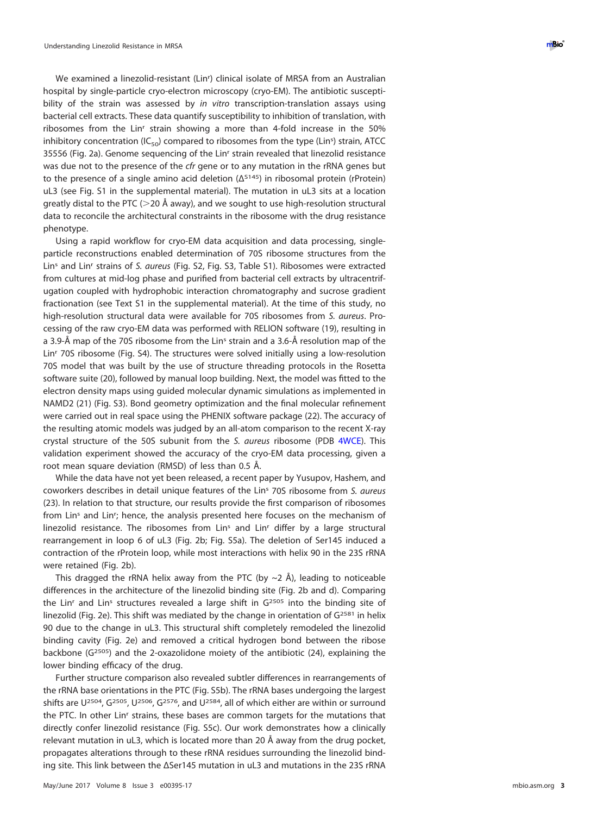We examined a linezolid-resistant (Lin<sup>r</sup>) clinical isolate of MRSA from an Australian hospital by single-particle cryo-electron microscopy (cryo-EM). The antibiotic susceptibility of the strain was assessed by in vitro transcription-translation assays using bacterial cell extracts. These data quantify susceptibility to inhibition of translation, with ribosomes from the Lin<sup>r</sup> strain showing a more than 4-fold increase in the 50% inhibitory concentration (IC<sub>50</sub>) compared to ribosomes from the type (Lin<sup>s</sup>) strain, ATCC 35556 [\(Fig. 2a\)](#page-3-0). Genome sequencing of the Linr strain revealed that linezolid resistance was due not to the presence of the cfr gene or to any mutation in the rRNA genes but to the presence of a single amino acid deletion  $(Δ<sup>S145</sup>)$  in ribosomal protein (rProtein) uL3 (see Fig. S1 in the supplemental material). The mutation in uL3 sits at a location greatly distal to the PTC (>20 Å away), and we sought to use high-resolution structural data to reconcile the architectural constraints in the ribosome with the drug resistance phenotype.

Using a rapid workflow for cryo-EM data acquisition and data processing, singleparticle reconstructions enabled determination of 70S ribosome structures from the Lin<sup>s</sup> and Lin<sup>r</sup> strains of S. aureus (Fig. S2, Fig. S3, Table S1). Ribosomes were extracted from cultures at mid-log phase and purified from bacterial cell extracts by ultracentrifugation coupled with hydrophobic interaction chromatography and sucrose gradient fractionation (see Text S1 in the supplemental material). At the time of this study, no high-resolution structural data were available for 70S ribosomes from S. aureus. Processing of the raw cryo-EM data was performed with RELION software [\(19\)](#page-6-18), resulting in a 3.9-Å map of the 70S ribosome from the Lin<sup>s</sup> strain and a 3.6-Å resolution map of the Linr 70S ribosome (Fig. S4). The structures were solved initially using a low-resolution 70S model that was built by the use of structure threading protocols in the Rosetta software suite [\(20\)](#page-6-19), followed by manual loop building. Next, the model was fitted to the electron density maps using guided molecular dynamic simulations as implemented in NAMD2 [\(21\)](#page-6-20) (Fig. S3). Bond geometry optimization and the final molecular refinement were carried out in real space using the PHENIX software package [\(22\)](#page-6-21). The accuracy of the resulting atomic models was judged by an all-atom comparison to the recent X-ray crystal structure of the 50S subunit from the S. aureus ribosome (PDB [4WCE\)](http://www.rcsb.org/pdb/explore/explore.do?structureId=4WCE). This validation experiment showed the accuracy of the cryo-EM data processing, given a root mean square deviation (RMSD) of less than 0.5 Å.

While the data have not yet been released, a recent paper by Yusupov, Hashem, and coworkers describes in detail unique features of the Lin<sup>s</sup> 70S ribosome from S. aureus [\(23\)](#page-6-22). In relation to that structure, our results provide the first comparison of ribosomes from Lin<sup>s</sup> and Lin<sup>r</sup>; hence, the analysis presented here focuses on the mechanism of linezolid resistance. The ribosomes from  $Lin<sup>s</sup>$  and  $Lin<sup>r</sup>$  differ by a large structural rearrangement in loop 6 of uL3 [\(Fig. 2b;](#page-3-0) Fig. S5a). The deletion of Ser145 induced a contraction of the rProtein loop, while most interactions with helix 90 in the 23S rRNA were retained [\(Fig. 2b\)](#page-3-0).

This dragged the rRNA helix away from the PTC (by  $\sim$ 2 Å), leading to noticeable differences in the architecture of the linezolid binding site [\(Fig. 2b](#page-3-0) and [d\)](#page-3-0). Comparing the Lin<sup>r</sup> and Lin<sup>s</sup> structures revealed a large shift in  $G<sup>2505</sup>$  into the binding site of linezolid [\(Fig. 2e\)](#page-3-0). This shift was mediated by the change in orientation of G<sup>2581</sup> in helix 90 due to the change in uL3. This structural shift completely remodeled the linezolid binding cavity [\(Fig. 2e\)](#page-3-0) and removed a critical hydrogen bond between the ribose backbone (G2505) and the 2-oxazolidone moiety of the antibiotic [\(24\)](#page-6-23), explaining the lower binding efficacy of the drug.

Further structure comparison also revealed subtler differences in rearrangements of the rRNA base orientations in the PTC (Fig. S5b). The rRNA bases undergoing the largest shifts are U<sup>2504</sup>, G<sup>2505</sup>, U<sup>2506</sup>, G<sup>2576</sup>, and U<sup>2584</sup>, all of which either are within or surround the PTC. In other Linr strains, these bases are common targets for the mutations that directly confer linezolid resistance (Fig. S5c). Our work demonstrates how a clinically relevant mutation in uL3, which is located more than 20 Å away from the drug pocket, propagates alterations through to these rRNA residues surrounding the linezolid binding site. This link between the ΔSer145 mutation in uL3 and mutations in the 23S rRNA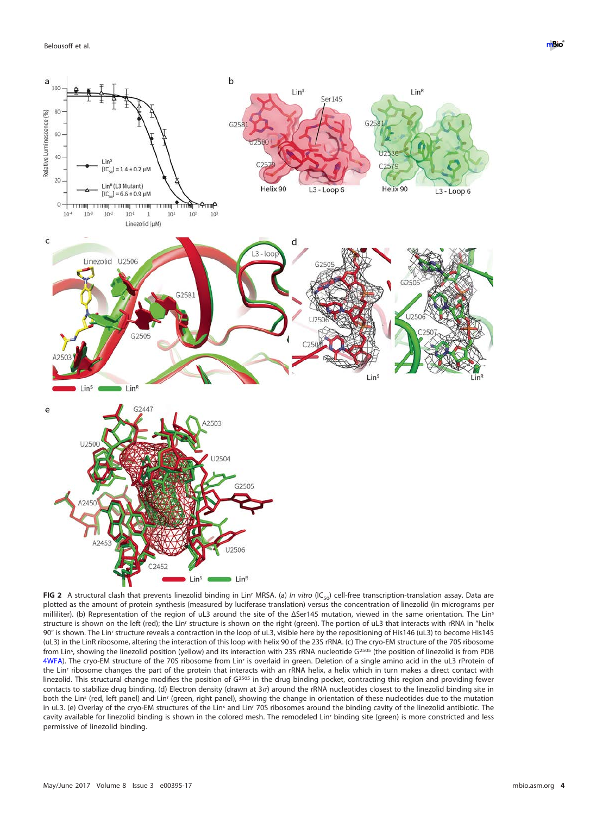

<span id="page-3-0"></span>FIG 2 A structural clash that prevents linezolid binding in Lin<sup>r</sup> MRSA. (a) *In vitro* (IC<sub>50</sub>) cell-free transcription-translation assay. Data are plotted as the amount of protein synthesis (measured by luciferase translation) versus the concentration of linezolid (in micrograms per milliliter). (b) Representation of the region of uL3 around the site of the ΔSer145 mutation, viewed in the same orientation. The Lins structure is shown on the left (red); the Linr structure is shown on the right (green). The portion of uL3 that interacts with rRNA in "helix 90" is shown. The Linr structure reveals a contraction in the loop of uL3, visible here by the repositioning of His146 (uL3) to become His145 (uL3) in the LinR ribosome, altering the interaction of this loop with helix 90 of the 23S rRNA. (c) The cryo-EM structure of the 70S ribosome from Lin<sup>s</sup>, showing the linezolid position (yellow) and its interaction with 23S rRNA nucleotide G<sup>2505</sup> (the position of linezolid is from PDB [4WFA\)](http://www.rcsb.org/pdb/explore/explore.do?structureId=4WFA). The cryo-EM structure of the 70S ribosome from Linr is overlaid in green. Deletion of a single amino acid in the uL3 rProtein of the Linr ribosome changes the part of the protein that interacts with an rRNA helix, a helix which in turn makes a direct contact with linezolid. This structural change modifies the position of G<sup>2505</sup> in the drug binding pocket, contracting this region and providing fewer contacts to stabilize drug binding. (d) Electron density (drawn at 3 $\sigma$ ) around the rRNA nucleotides closest to the linezolid binding site in both the Lins (red, left panel) and Linr (green, right panel), showing the change in orientation of these nucleotides due to the mutation in uL3. (e) Overlay of the cryo-EM structures of the Lin<sup>s</sup> and Lin<sup>r</sup> 70S ribosomes around the binding cavity of the linezolid antibiotic. The cavity available for linezolid binding is shown in the colored mesh. The remodeled Linr binding site (green) is more constricted and less permissive of linezolid binding.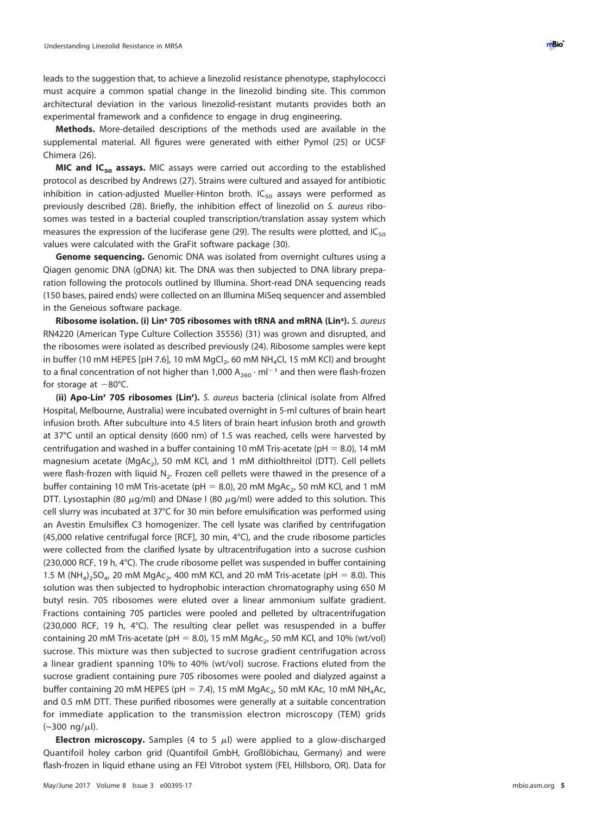leads to the suggestion that, to achieve a linezolid resistance phenotype, staphylococci must acquire a common spatial change in the linezolid binding site. This common architectural deviation in the various linezolid-resistant mutants provides both an experimental framework and a confidence to engage in drug engineering.

**Methods.** More-detailed descriptions of the methods used are available in the supplemental material. All figures were generated with either Pymol [\(25\)](#page-6-24) or UCSF Chimera [\(26\)](#page-6-25).

**MIC** and IC<sub>50</sub> assays. MIC assays were carried out according to the established protocol as described by Andrews [\(27\)](#page-6-26). Strains were cultured and assayed for antibiotic inhibition in cation-adjusted Mueller-Hinton broth.  $IC_{50}$  assays were performed as previously described [\(28\)](#page-6-27). Briefly, the inhibition effect of linezolid on S. aureus ribosomes was tested in a bacterial coupled transcription/translation assay system which measures the expression of the luciferase gene [\(29\)](#page-6-28). The results were plotted, and IC<sub>50</sub> values were calculated with the GraFit software package [\(30\)](#page-6-29).

**Genome sequencing.** Genomic DNA was isolated from overnight cultures using a Qiagen genomic DNA (gDNA) kit. The DNA was then subjected to DNA library preparation following the protocols outlined by Illumina. Short-read DNA sequencing reads (150 bases, paired ends) were collected on an Illumina MiSeq sequencer and assembled in the Geneious software package.

**Ribosome isolation. (i) Lin<sup>s</sup> 70S ribosomes with tRNA and mRNA (Lins ).** S. aureus RN4220 (American Type Culture Collection 35556) [\(31\)](#page-6-30) was grown and disrupted, and the ribosomes were isolated as described previously [\(24\)](#page-6-23). Ribosome samples were kept in buffer (10 mM HEPES [pH 7.6], 10 mM MgCl<sub>2</sub>, 60 mM NH<sub>4</sub>Cl, 15 mM KCl) and brought to a final concentration of not higher than 1,000  $A_{260} \cdot ml^{-1}$  and then were flash-frozen for storage at  $-80^{\circ}$ C.

**(ii) Apo-Linr 70S ribosomes (Linr ).** S. aureus bacteria (clinical isolate from Alfred Hospital, Melbourne, Australia) were incubated overnight in 5-ml cultures of brain heart infusion broth. After subculture into 4.5 liters of brain heart infusion broth and growth at 37°C until an optical density (600 nm) of 1.5 was reached, cells were harvested by centrifugation and washed in a buffer containing 10 mM Tris-acetate (pH  $= 8.0$ ), 14 mM magnesium acetate ( $MqAc<sub>2</sub>$ ), 50 mM KCl, and 1 mM dithiolthreitol (DTT). Cell pellets were flash-frozen with liquid  $N<sub>2</sub>$ . Frozen cell pellets were thawed in the presence of a buffer containing 10 mM Tris-acetate (pH = 8.0), 20 mM MgAc<sub>2</sub>, 50 mM KCl, and 1 mM DTT. Lysostaphin (80  $\mu$ g/ml) and DNase I (80  $\mu$ g/ml) were added to this solution. This cell slurry was incubated at 37°C for 30 min before emulsification was performed using an Avestin Emulsiflex C3 homogenizer. The cell lysate was clarified by centrifugation (45,000 relative centrifugal force [RCF], 30 min, 4°C), and the crude ribosome particles were collected from the clarified lysate by ultracentrifugation into a sucrose cushion (230,000 RCF, 19 h, 4°C). The crude ribosome pellet was suspended in buffer containing 1.5 M (NH<sub>a</sub>)<sub>2</sub>SO<sub>a</sub>, 20 mM MgAc<sub>2</sub>, 400 mM KCl, and 20 mM Tris-acetate (pH = 8.0). This solution was then subjected to hydrophobic interaction chromatography using 650 M butyl resin. 70S ribosomes were eluted over a linear ammonium sulfate gradient. Fractions containing 70S particles were pooled and pelleted by ultracentrifugation (230,000 RCF, 19 h, 4°C). The resulting clear pellet was resuspended in a buffer containing 20 mM Tris-acetate (pH = 8.0), 15 mM MgAc<sub>2</sub>, 50 mM KCl, and 10% (wt/vol) sucrose. This mixture was then subjected to sucrose gradient centrifugation across a linear gradient spanning 10% to 40% (wt/vol) sucrose. Fractions eluted from the sucrose gradient containing pure 70S ribosomes were pooled and dialyzed against a buffer containing 20 mM HEPES (pH = 7.4), 15 mM MgAc<sub>2</sub>, 50 mM KAc, 10 mM NH<sub>4</sub>Ac, and 0.5 mM DTT. These purified ribosomes were generally at a suitable concentration for immediate application to the transmission electron microscopy (TEM) grids  $({\sim}300 \text{ ng}/\mu$ .

**Electron microscopy.** Samples (4 to 5  $\mu$ I) were applied to a glow-discharged Quantifoil holey carbon grid (Quantifoil GmbH, Großlöbichau, Germany) and were flash-frozen in liquid ethane using an FEI Vitrobot system (FEI, Hillsboro, OR). Data for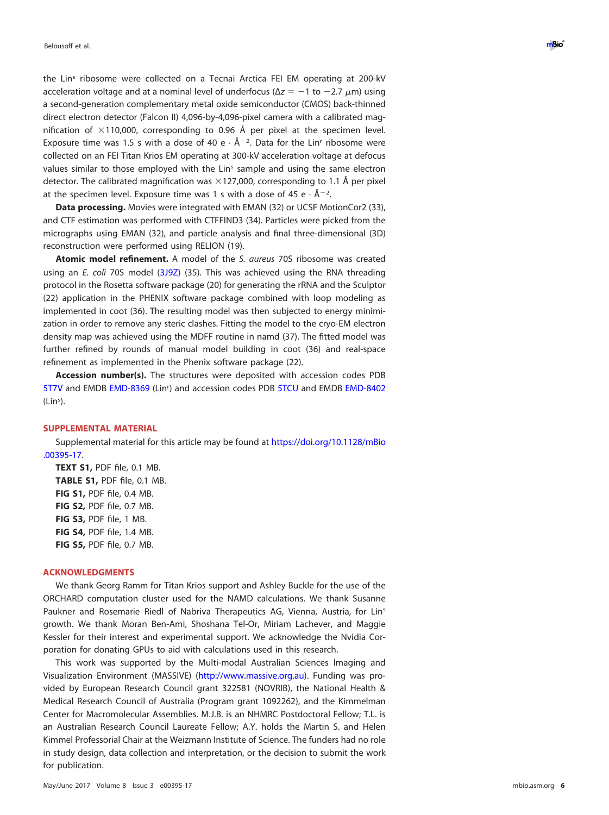the Lins ribosome were collected on a Tecnai Arctica FEI EM operating at 200-kV acceleration voltage and at a nominal level of underfocus ( $Δz = -1$  to  $-2.7 \mu m$ ) using a second-generation complementary metal oxide semiconductor (CMOS) back-thinned direct electron detector (Falcon II) 4,096-by-4,096-pixel camera with a calibrated magnification of  $\times$ 110,000, corresponding to 0.96 Å per pixel at the specimen level. Exposure time was 1.5 s with a dose of 40 e  $\cdot$  Å<sup>-2</sup>. Data for the Lin<sup>r</sup> ribosome were collected on an FEI Titan Krios EM operating at 300-kV acceleration voltage at defocus values similar to those employed with the Lin<sup>s</sup> sample and using the same electron detector. The calibrated magnification was  $\times$ 127,000, corresponding to 1.1 Å per pixel at the specimen level. Exposure time was 1 s with a dose of 45 e  $\cdot$  Å<sup>-2</sup>.

**Data processing.** Movies were integrated with EMAN [\(32\)](#page-6-31) or UCSF MotionCor2 [\(33\)](#page-6-32), and CTF estimation was performed with CTFFIND3 [\(34\)](#page-6-33). Particles were picked from the micrographs using EMAN [\(32\)](#page-6-31), and particle analysis and final three-dimensional (3D) reconstruction were performed using RELION [\(19\)](#page-6-18).

**Atomic model refinement.** A model of the S. aureus 70S ribosome was created using an E. coli 70S model [\(3J9Z\)](https://www.ncbi.nlm.nih.gov/nuccore/3J9Z) [\(35\)](#page-6-34). This was achieved using the RNA threading protocol in the Rosetta software package [\(20\)](#page-6-19) for generating the rRNA and the Sculptor [\(22\)](#page-6-21) application in the PHENIX software package combined with loop modeling as implemented in coot [\(36\)](#page-6-35). The resulting model was then subjected to energy minimization in order to remove any steric clashes. Fitting the model to the cryo-EM electron density map was achieved using the MDFF routine in namd [\(37\)](#page-6-36). The fitted model was further refined by rounds of manual model building in coot [\(36\)](#page-6-35) and real-space refinement as implemented in the Phenix software package [\(22\)](#page-6-21).

**Accession number(s).** The structures were deposited with accession codes PDB [5T7V](http://www.rcsb.org/pdb/explore/explore.do?structureId=5T7V) and EMDB [EMD-8369](https://www.ebi.ac.uk/pdbe/entry/emdb/EMD-8369) (Lin<sup>r</sup>) and accession codes PDB [5TCU](http://www.rcsb.org/pdb/explore/explore.do?structureId=5TCU) and EMDB [EMD-8402](https://www.ebi.ac.uk/pdbe/entry/emdb/EMD-8402) (Lin<sup>s</sup> ).

### **SUPPLEMENTAL MATERIAL**

Supplemental material for this article may be found at [https://doi.org/10.1128/mBio](https://doi.org/10.1128/mBio.00395-17) [.00395-17.](https://doi.org/10.1128/mBio.00395-17)

**TEXT S1,** PDF file, 0.1 MB. **TABLE S1,** PDF file, 0.1 MB. **FIG S1,** PDF file, 0.4 MB. **FIG S2,** PDF file, 0.7 MB. **FIG S3,** PDF file, 1 MB. **FIG S4,** PDF file, 1.4 MB. **FIG S5,** PDF file, 0.7 MB.

#### **ACKNOWLEDGMENTS**

We thank Georg Ramm for Titan Krios support and Ashley Buckle for the use of the ORCHARD computation cluster used for the NAMD calculations. We thank Susanne Paukner and Rosemarie Riedl of Nabriva Therapeutics AG, Vienna, Austria, for Lins growth. We thank Moran Ben-Ami, Shoshana Tel-Or, Miriam Lachever, and Maggie Kessler for their interest and experimental support. We acknowledge the Nvidia Corporation for donating GPUs to aid with calculations used in this research.

This work was supported by the Multi-modal Australian Sciences Imaging and Visualization Environment (MASSIVE) [\(http://www.massive.org.au\)](http://www.massive.org.au). Funding was provided by European Research Council grant 322581 (NOVRIB), the National Health & Medical Research Council of Australia (Program grant 1092262), and the Kimmelman Center for Macromolecular Assemblies. M.J.B. is an NHMRC Postdoctoral Fellow; T.L. is an Australian Research Council Laureate Fellow; A.Y. holds the Martin S. and Helen Kimmel Professorial Chair at the Weizmann Institute of Science. The funders had no role in study design, data collection and interpretation, or the decision to submit the work for publication.